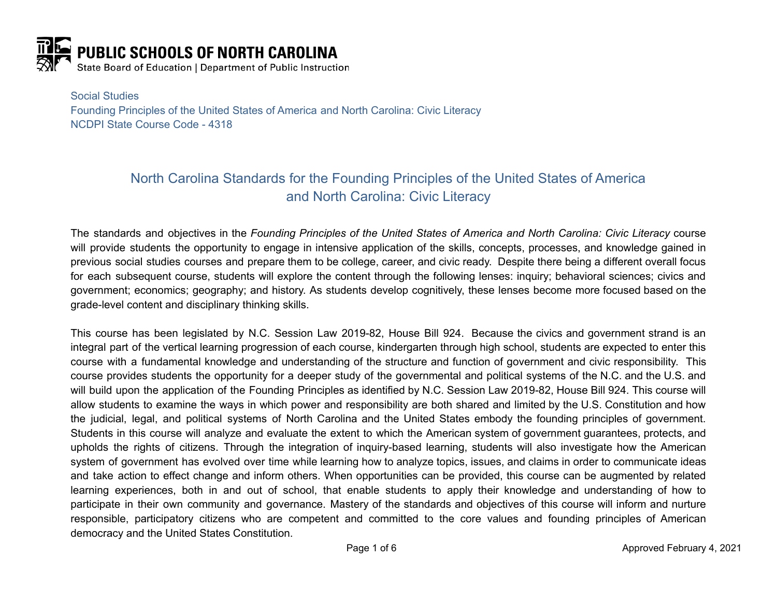

Social Studies Founding Principles of the United States of America and North Carolina: Civic Literacy NCDPI State Course Code - 4318

# North Carolina Standards for the Founding Principles of the United States of America and North Carolina: Civic Literacy

The standards and objectives in the *Founding Principles of the United States of America and North Carolina: Civic Literacy* course will provide students the opportunity to engage in intensive application of the skills, concepts, processes, and knowledge gained in previous social studies courses and prepare them to be college, career, and civic ready. Despite there being a different overall focus for each subsequent course, students will explore the content through the following lenses: inquiry; behavioral sciences; civics and government; economics; geography; and history. As students develop cognitively, these lenses become more focused based on the grade-level content and disciplinary thinking skills.

This course has been legislated by N.C. Session Law 2019-82, House Bill 924. Because the civics and government strand is an integral part of the vertical learning progression of each course, kindergarten through high school, students are expected to enter this course with a fundamental knowledge and understanding of the structure and function of government and civic responsibility. This course provides students the opportunity for a deeper study of the governmental and political systems of the N.C. and the U.S. and will build upon the application of the Founding Principles as identified by N.C. Session Law 2019-82, House Bill 924. This course will allow students to examine the ways in which power and responsibility are both shared and limited by the U.S. Constitution and how the judicial, legal, and political systems of North Carolina and the United States embody the founding principles of government. Students in this course will analyze and evaluate the extent to which the American system of government guarantees, protects, and upholds the rights of citizens. Through the integration of inquiry-based learning, students will also investigate how the American system of government has evolved over time while learning how to analyze topics, issues, and claims in order to communicate ideas and take action to effect change and inform others. When opportunities can be provided, this course can be augmented by related learning experiences, both in and out of school, that enable students to apply their knowledge and understanding of how to participate in their own community and governance. Mastery of the standards and objectives of this course will inform and nurture responsible, participatory citizens who are competent and committed to the core values and founding principles of American democracy and the United States Constitution.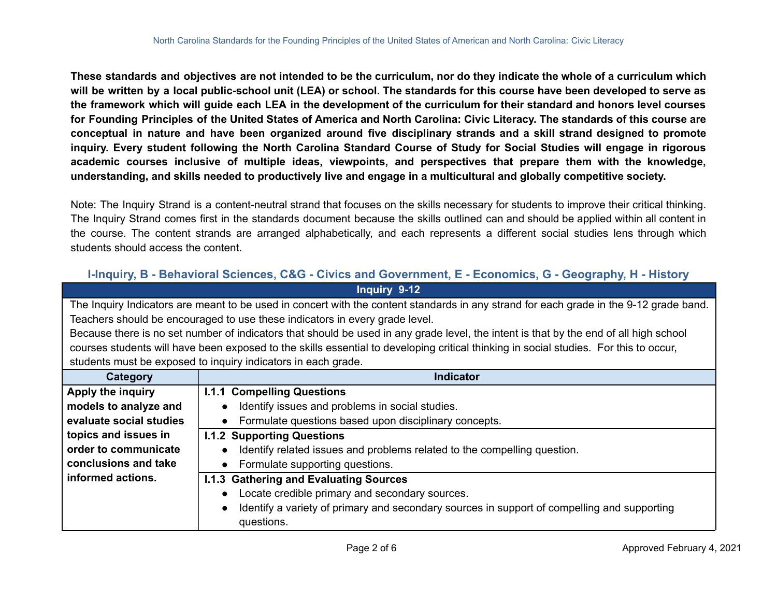These standards and objectives are not intended to be the curriculum, nor do they indicate the whole of a curriculum which will be written by a local public-school unit (LEA) or school. The standards for this course have been developed to serve as the framework which will guide each LEA in the development of the curriculum for their standard and honors level courses for Founding Principles of the United States of America and North Carolina: Civic Literacy. The standards of this course are conceptual in nature and have been organized around five disciplinary strands and a skill strand designed to promote inquiry. Every student following the North Carolina Standard Course of Study for Social Studies will engage in rigorous **academic courses inclusive of multiple ideas, viewpoints, and perspectives that prepare them with the knowledge,** understanding, and skills needed to productively live and engage in a multicultural and globally competitive society.

Note: The Inquiry Strand is a content-neutral strand that focuses on the skills necessary for students to improve their critical thinking. The Inquiry Strand comes first in the standards document because the skills outlined can and should be applied within all content in the course. The content strands are arranged alphabetically, and each represents a different social studies lens through which students should access the content.

| I-Inquiry, B - Behavioral Sciences, C&G - Civics and Government, E - Economics, G - Geography, H - History                             |                                                                                             |
|----------------------------------------------------------------------------------------------------------------------------------------|---------------------------------------------------------------------------------------------|
| Inquiry 9-12                                                                                                                           |                                                                                             |
| The Inquiry Indicators are meant to be used in concert with the content standards in any strand for each grade in the 9-12 grade band. |                                                                                             |
| Teachers should be encouraged to use these indicators in every grade level.                                                            |                                                                                             |
| Because there is no set number of indicators that should be used in any grade level, the intent is that by the end of all high school  |                                                                                             |
| courses students will have been exposed to the skills essential to developing critical thinking in social studies. For this to occur,  |                                                                                             |
| students must be exposed to inquiry indicators in each grade.                                                                          |                                                                                             |
| Category                                                                                                                               | <b>Indicator</b>                                                                            |
| Apply the inquiry                                                                                                                      | <b>I.1.1 Compelling Questions</b>                                                           |
| models to analyze and                                                                                                                  | Identify issues and problems in social studies.                                             |
| evaluate social studies                                                                                                                | Formulate questions based upon disciplinary concepts.                                       |
| topics and issues in                                                                                                                   | <b>I.1.2 Supporting Questions</b>                                                           |
| order to communicate                                                                                                                   | Identify related issues and problems related to the compelling question.                    |
| conclusions and take                                                                                                                   | Formulate supporting questions.<br>$\bullet$                                                |
| informed actions.                                                                                                                      | <b>I.1.3 Gathering and Evaluating Sources</b>                                               |
|                                                                                                                                        | Locate credible primary and secondary sources.                                              |
|                                                                                                                                        | Identify a variety of primary and secondary sources in support of compelling and supporting |
|                                                                                                                                        | questions.                                                                                  |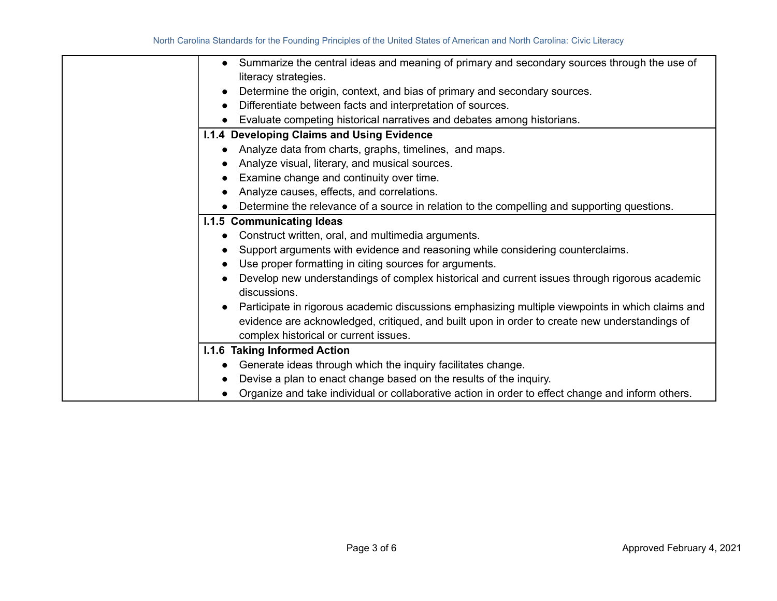|           | Summarize the central ideas and meaning of primary and secondary sources through the use of                                                                                                                                                |
|-----------|--------------------------------------------------------------------------------------------------------------------------------------------------------------------------------------------------------------------------------------------|
|           | literacy strategies.                                                                                                                                                                                                                       |
| $\bullet$ | Determine the origin, context, and bias of primary and secondary sources.                                                                                                                                                                  |
| $\bullet$ | Differentiate between facts and interpretation of sources.                                                                                                                                                                                 |
|           | Evaluate competing historical narratives and debates among historians.                                                                                                                                                                     |
|           | I.1.4 Developing Claims and Using Evidence                                                                                                                                                                                                 |
|           | Analyze data from charts, graphs, timelines, and maps.                                                                                                                                                                                     |
|           | Analyze visual, literary, and musical sources.                                                                                                                                                                                             |
|           | Examine change and continuity over time.                                                                                                                                                                                                   |
|           | Analyze causes, effects, and correlations.                                                                                                                                                                                                 |
|           | Determine the relevance of a source in relation to the compelling and supporting questions.                                                                                                                                                |
|           | <b>I.1.5 Communicating Ideas</b>                                                                                                                                                                                                           |
| $\bullet$ | Construct written, oral, and multimedia arguments.                                                                                                                                                                                         |
|           | Support arguments with evidence and reasoning while considering counterclaims.                                                                                                                                                             |
|           | Use proper formatting in citing sources for arguments.                                                                                                                                                                                     |
|           | Develop new understandings of complex historical and current issues through rigorous academic<br>discussions.                                                                                                                              |
|           | Participate in rigorous academic discussions emphasizing multiple viewpoints in which claims and<br>evidence are acknowledged, critiqued, and built upon in order to create new understandings of<br>complex historical or current issues. |
|           | <b>I.1.6 Taking Informed Action</b>                                                                                                                                                                                                        |
|           | Generate ideas through which the inquiry facilitates change.                                                                                                                                                                               |
|           | Devise a plan to enact change based on the results of the inquiry.                                                                                                                                                                         |
|           | Organize and take individual or collaborative action in order to effect change and inform others.                                                                                                                                          |
|           |                                                                                                                                                                                                                                            |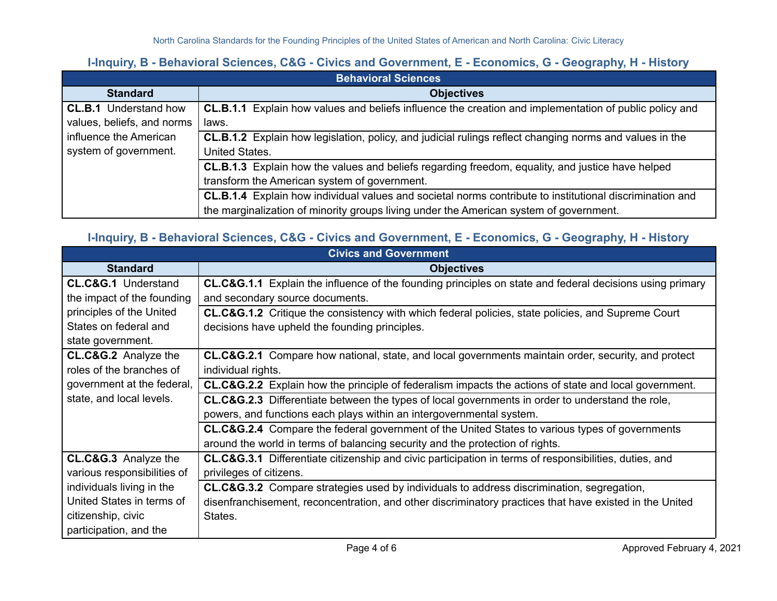#### **I-Inquiry, B - Behavioral Sciences, C&G - Civics and Government, E - Economics, G - Geography, H - History**

| <b>Behavioral Sciences</b>   |                                                                                                          |
|------------------------------|----------------------------------------------------------------------------------------------------------|
| <b>Standard</b>              | <b>Objectives</b>                                                                                        |
| <b>CL.B.1</b> Understand how | CL.B.1.1 Explain how values and beliefs influence the creation and implementation of public policy and   |
| values, beliefs, and norms   | laws.                                                                                                    |
| influence the American       | CL.B.1.2 Explain how legislation, policy, and judicial rulings reflect changing norms and values in the  |
| system of government.        | <b>United States.</b>                                                                                    |
|                              | <b>CL.B.1.3</b> Explain how the values and beliefs regarding freedom, equality, and justice have helped  |
|                              | transform the American system of government.                                                             |
|                              | CL.B.1.4 Explain how individual values and societal norms contribute to institutional discrimination and |
|                              | the marginalization of minority groups living under the American system of government.                   |

## **I-Inquiry, B - Behavioral Sciences, C&G - Civics and Government, E - Economics, G - Geography, H - History**

| <b>Civics and Government</b>    |                                                                                                                   |
|---------------------------------|-------------------------------------------------------------------------------------------------------------------|
| <b>Standard</b>                 | <b>Objectives</b>                                                                                                 |
| <b>CL.C&amp;G.1 Understand</b>  | CL.C&G.1.1 Explain the influence of the founding principles on state and federal decisions using primary          |
| the impact of the founding      | and secondary source documents.                                                                                   |
| principles of the United        | CL.C&G.1.2 Critique the consistency with which federal policies, state policies, and Supreme Court                |
| States on federal and           | decisions have upheld the founding principles.                                                                    |
| state government.               |                                                                                                                   |
| <b>CL.C&amp;G.2</b> Analyze the | CL.C&G.2.1 Compare how national, state, and local governments maintain order, security, and protect               |
| roles of the branches of        | individual rights.                                                                                                |
| government at the federal,      | CL.C&G.2.2 Explain how the principle of federalism impacts the actions of state and local government.             |
| state, and local levels.        | <b>CL.C&amp;G.2.3</b> Differentiate between the types of local governments in order to understand the role,       |
|                                 | powers, and functions each plays within an intergovernmental system.                                              |
|                                 | <b>CL.C&amp;G.2.4</b> Compare the federal government of the United States to various types of governments         |
|                                 | around the world in terms of balancing security and the protection of rights.                                     |
| <b>CL.C&amp;G.3</b> Analyze the | <b>CL.C&amp;G.3.1</b> Differentiate citizenship and civic participation in terms of responsibilities, duties, and |
| various responsibilities of     | privileges of citizens.                                                                                           |
| individuals living in the       | CL.C&G.3.2 Compare strategies used by individuals to address discrimination, segregation,                         |
| United States in terms of       | disenfranchisement, reconcentration, and other discriminatory practices that have existed in the United           |
| citizenship, civic              | States.                                                                                                           |
| participation, and the          |                                                                                                                   |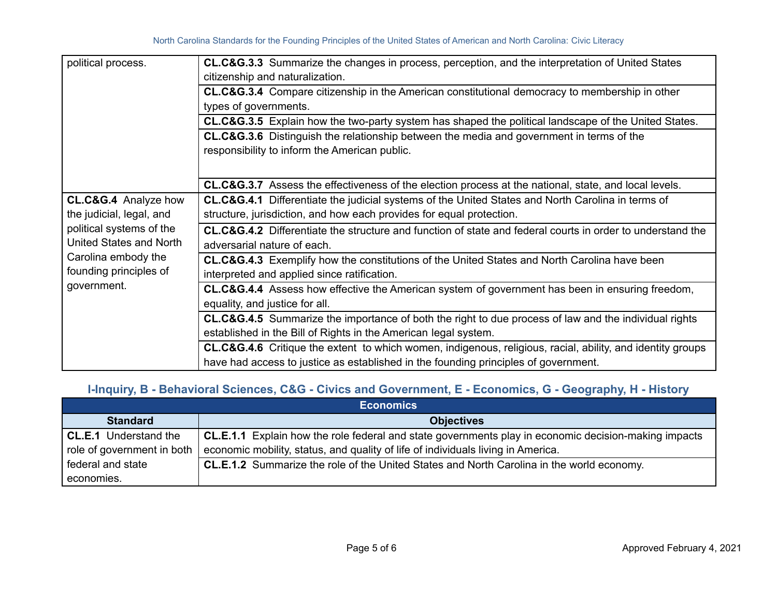| political process.                                                                                                                                                                 | <b>CL.C&amp;G.3.3</b> Summarize the changes in process, perception, and the interpretation of United States           |
|------------------------------------------------------------------------------------------------------------------------------------------------------------------------------------|-----------------------------------------------------------------------------------------------------------------------|
|                                                                                                                                                                                    | citizenship and naturalization.                                                                                       |
|                                                                                                                                                                                    | <b>CL.C&amp;G.3.4</b> Compare citizenship in the American constitutional democracy to membership in other             |
|                                                                                                                                                                                    | types of governments.                                                                                                 |
|                                                                                                                                                                                    | CL.C&G.3.5 Explain how the two-party system has shaped the political landscape of the United States.                  |
|                                                                                                                                                                                    | <b>CL.C&amp;G.3.6</b> Distinguish the relationship between the media and government in terms of the                   |
|                                                                                                                                                                                    | responsibility to inform the American public.                                                                         |
|                                                                                                                                                                                    |                                                                                                                       |
|                                                                                                                                                                                    | CL.C&G.3.7 Assess the effectiveness of the election process at the national, state, and local levels.                 |
| <b>CL.C&amp;G.4</b> Analyze how<br>the judicial, legal, and<br>political systems of the<br>United States and North<br>Carolina embody the<br>founding principles of<br>government. | <b>CL.C&amp;G.4.1</b> Differentiate the judicial systems of the United States and North Carolina in terms of          |
|                                                                                                                                                                                    | structure, jurisdiction, and how each provides for equal protection.                                                  |
|                                                                                                                                                                                    | CL.C&G.4.2 Differentiate the structure and function of state and federal courts in order to understand the            |
|                                                                                                                                                                                    | adversarial nature of each.                                                                                           |
|                                                                                                                                                                                    | <b>CL.C&amp;G.4.3</b> Exemplify how the constitutions of the United States and North Carolina have been               |
|                                                                                                                                                                                    | interpreted and applied since ratification.                                                                           |
|                                                                                                                                                                                    | CL.C&G.4.4 Assess how effective the American system of government has been in ensuring freedom,                       |
|                                                                                                                                                                                    | equality, and justice for all.                                                                                        |
|                                                                                                                                                                                    | <b>CL.C&amp;G.4.5</b> Summarize the importance of both the right to due process of law and the individual rights      |
|                                                                                                                                                                                    | established in the Bill of Rights in the American legal system.                                                       |
|                                                                                                                                                                                    | <b>CL.C&amp;G.4.6</b> Critique the extent to which women, indigenous, religious, racial, ability, and identity groups |
|                                                                                                                                                                                    | have had access to justice as established in the founding principles of government.                                   |

## **I-Inquiry, B - Behavioral Sciences, C&G - Civics and Government, E - Economics, G - Geography, H - History**

| <b>Economics</b>           |                                                                                                      |
|----------------------------|------------------------------------------------------------------------------------------------------|
| <b>Standard</b>            | <b>Objectives</b>                                                                                    |
| CL.E.1 Understand the      | CL.E.1.1 Explain how the role federal and state governments play in economic decision-making impacts |
| role of government in both | economic mobility, status, and quality of life of individuals living in America.                     |
| federal and state          | <b>CL.E.1.2</b> Summarize the role of the United States and North Carolina in the world economy.     |
| economies.                 |                                                                                                      |